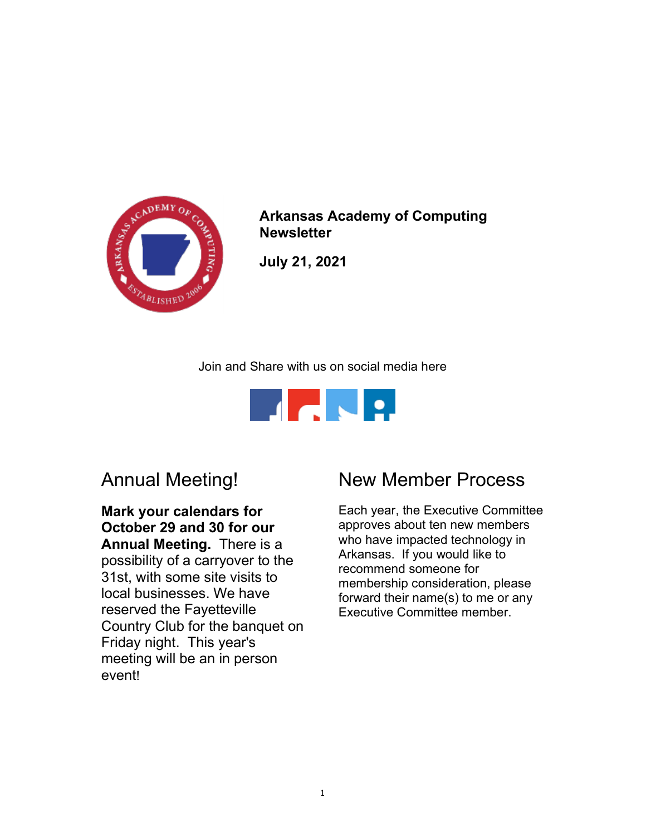

Arkansas Academy of Computing **Newsletter** 

July 21, 2021

Join and Share with us on social media here



## Annual Meeting!

Mark your calendars for October 29 and 30 for our Annual Meeting. There is a possibility of a carryover to the 31st, with some site visits to local businesses. We have reserved the Fayetteville Country Club for the banquet on Friday night. This year's meeting will be an in person event!

## New Member Process

Each year, the Executive Committee approves about ten new members who have impacted technology in Arkansas. If you would like to recommend someone for membership consideration, please forward their name(s) to me or any Executive Committee member.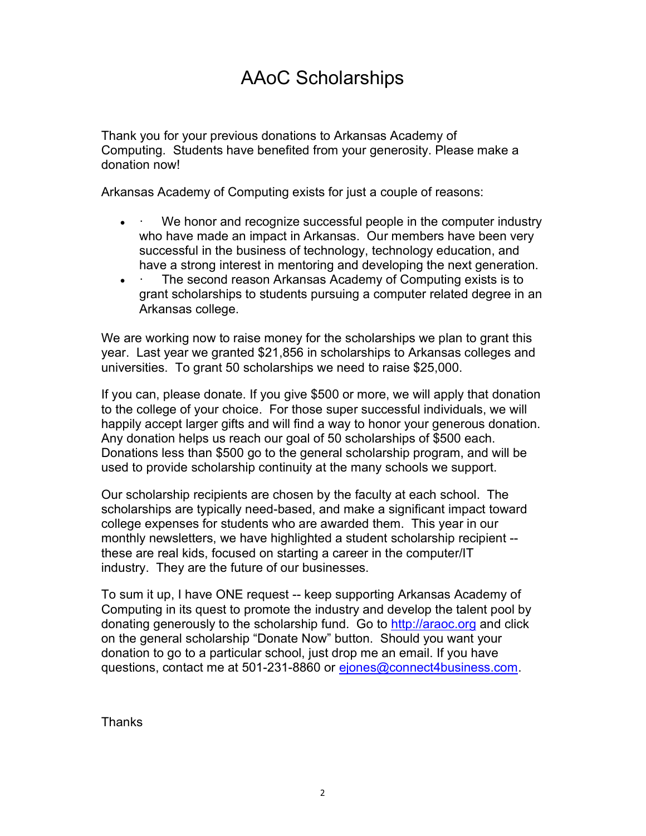## AAoC Scholarships

Thank you for your previous donations to Arkansas Academy of Computing. Students have benefited from your generosity. Please make a donation now!

Arkansas Academy of Computing exists for just a couple of reasons:

- We honor and recognize successful people in the computer industry who have made an impact in Arkansas. Our members have been very successful in the business of technology, technology education, and have a strong interest in mentoring and developing the next generation.
- The second reason Arkansas Academy of Computing exists is to grant scholarships to students pursuing a computer related degree in an Arkansas college.

We are working now to raise money for the scholarships we plan to grant this year. Last year we granted \$21,856 in scholarships to Arkansas colleges and universities. To grant 50 scholarships we need to raise \$25,000.

If you can, please donate. If you give \$500 or more, we will apply that donation to the college of your choice. For those super successful individuals, we will happily accept larger gifts and will find a way to honor your generous donation. Any donation helps us reach our goal of 50 scholarships of \$500 each. Donations less than \$500 go to the general scholarship program, and will be used to provide scholarship continuity at the many schools we support.

Our scholarship recipients are chosen by the faculty at each school. The scholarships are typically need-based, and make a significant impact toward college expenses for students who are awarded them. This year in our monthly newsletters, we have highlighted a student scholarship recipient - these are real kids, focused on starting a career in the computer/IT industry. They are the future of our businesses.

To sum it up, I have ONE request -- keep supporting Arkansas Academy of Computing in its quest to promote the industry and develop the talent pool by donating generously to the scholarship fund. Go to http://araoc.org and click on the general scholarship "Donate Now" button. Should you want your donation to go to a particular school, just drop me an email. If you have questions, contact me at 501-231-8860 or ejones@connect4business.com.

**Thanks**